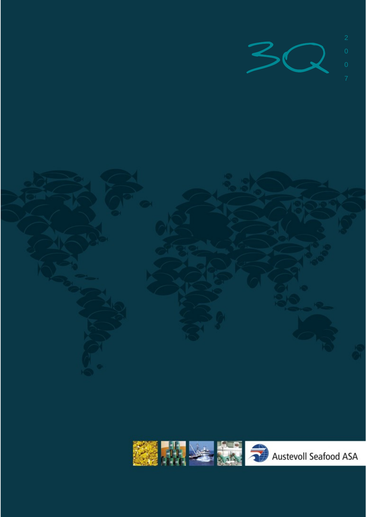



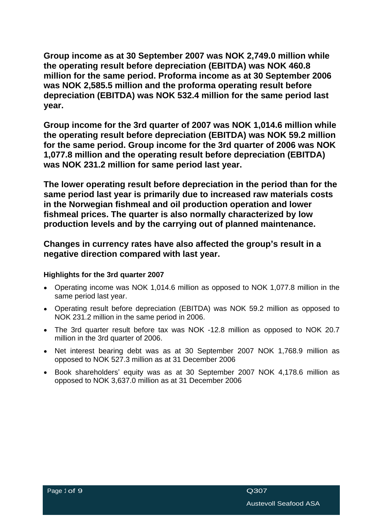**Group income as at 30 September 2007 was NOK 2,749.0 million while the operating result before depreciation (EBITDA) was NOK 460.8 million for the same period. Proforma income as at 30 September 2006 was NOK 2,585.5 million and the proforma operating result before depreciation (EBITDA) was NOK 532.4 million for the same period last year.**

**Group income for the 3rd quarter of 2007 was NOK 1,014.6 million while the operating result before depreciation (EBITDA) was NOK 59.2 million for the same period. Group income for the 3rd quarter of 2006 was NOK 1,077.8 million and the operating result before depreciation (EBITDA) was NOK 231.2 million for same period last year.**

**The lower operating result before depreciation in the period than for the same period last year is primarily due to increased raw materials costs in the Norwegian fishmeal and oil production operation and lower fishmeal prices. The quarter is also normally characterized by low production levels and by the carrying out of planned maintenance. Changes in currency rates have also affected the group s result in a** 

# **negative direction compared with last year.**

## **Highlights for the 3rd quarter 2007**

- Operating income was NOK 1,014.6 million as opposed to NOK 1,077.8 million in the same period last year.
- Operating result before depreciation (EBITDA) was NOK 59.2 million as opposed to NOK 231.2 million in the same period in 2006.
- The 3rd quarter result before tax was NOK -12.8 million as opposed to NOK 20.7
- million in the 3rd quarter of 2006.<br>Net interest bearing debt was as at 30 September 2007 NOK 1,768.9 million as opposed to NOK 527.3 million as at 31 December 2006
- Book shareholders' equity was as at 30 September 2007 NOK 4,178.6 million as opposed to NOK 3,637.0 million as at 31 December 2006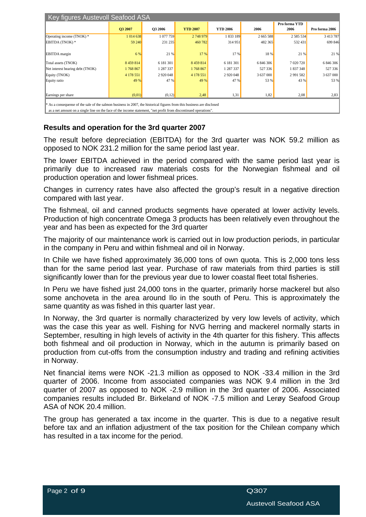| Key figures Austevoll Seafood ASA                                                                                      |               |               |                 |                 |           |               |                         |
|------------------------------------------------------------------------------------------------------------------------|---------------|---------------|-----------------|-----------------|-----------|---------------|-------------------------|
|                                                                                                                        |               |               |                 |                 |           | Pro forma YTD |                         |
|                                                                                                                        | Q3 2007       | Q3 2006       | <b>YTD 2007</b> | <b>YTD 2006</b> | 2006      | <b>2006</b>   | <b>Pro</b> forma $2006$ |
| Operating income (TNOK) *<br>EBITDA (TNOK) *                                                                           | 014638        | 1 077 75      | 2748979         | 1 833 189       | 2 665 588 | 2 5 8 5 5 3 4 | -3413                   |
|                                                                                                                        | 59 240        | 231 235       | 460 782         | 314 951         | 482 365   | 532 431       | 699 846                 |
|                                                                                                                        |               |               |                 |                 |           |               |                         |
| EBITDA margin                                                                                                          |               |               |                 |                 |           |               |                         |
| Total assets (TNOK)                                                                                                    | 8 4 5 9 8 1 4 | 6 181 301     | 8 4 5 9 8 14    | 6 181 301       | 6 846 306 | 7 020 720     | 6 846 306               |
| Net interest bearing debt (TNOK)                                                                                       | 1768 867      | 1 287 337     | 1768 867        | 1 287 337       | 527 336   | 1 837 348     |                         |
| Equity (TNOK)                                                                                                          | 4 178 551     | 2 9 2 0 0 4 8 | 4 178 551       | 2 9 2 0 0 4 8   | 3 637 000 | 2 9 9 1 5 8 2 | 3 637 000               |
| Equity ratio                                                                                                           |               |               |                 |                 |           |               |                         |
|                                                                                                                        |               |               |                 |                 |           |               |                         |
|                                                                                                                        |               |               |                 |                 |           |               |                         |
| Earnings per share                                                                                                     |               |               |                 |                 |           |               |                         |
| * As a consequense of the sale of the salmon business in 2007, the historical figures from this business are disclosed |               |               |                 |                 |           |               |                         |
| as a net amount on a single line on the face of the income statement, "net profit from discontinued operations".       |               |               |                 |                 |           |               |                         |

**Results and operation for the 3rd quarter 2007**

The result before depreciation (EBITDA) for the 3rd quarter was NOK 59.2 million as opposed to NOK 231.2 million for the same period last year.

The lower EBITDA achieved in the period compared with the same period last year is primarily due to increased raw materials costs for the Norwegian fishmeal and oil production operation and lower fishmeal prices.

Changes in currency rates have also affected the group's result in a negative direction compared with last year.

The fishmeal, oil and canned products segments have operated at lower activity levels. Production of high concentrate Omega 3 products has been relatively even throughout the year and has been as expected for the 3rd quarter

The majority of our maintenance work is carried out in low production periods, in particular in the company in Peru and within fishmeal and oil in Norway.

In Chile we have fished approximately 36,000 tons of own quota. This is 2,000 tons less than for the same period last year. Purchase of raw materials from third parties is still significantly lower than for the previous year due to lower coastal fleet total fisheries.

In Peru we have fished just 24,000 tons in the quarter, primarily horse mackerel but also some anchoveta in the area around Ilo in the south of Peru. This is approximately the same quantity as was fished in this quarter last year.

In Norway, the 3rd quarter is normally characterized by very low levels of activity, which was the case this year as well. Fishing for NVG herring and mackerel normally starts in September, resulting in high levels of activity in the 4th quarter for this fishery. This affects both fishmeal and oil production in Norway, which in the autumn is primarily based on production from cut-offs from the consumption industry and trading and refining activities in Norway.

Net financial items were NOK -21.3 million as opposed to NOK -33.4 million in the 3rd quarter of 2006. Income from associated companies was NOK 9.4 million in the 3rd quarter of 2007 as opposed to NOK -2.9 million in the 3rd quarter of 2006. Associated companies results included Br. Birkeland of NOK -7.5 million and Lerøy Seafood Group ASA of NOK 20.4 million.<br>The group has generated a tax income in the quarter. This is due to a negative result

before tax and an inflation adjustment of the tax position for the Chilean company which has resulted in a tax income for the period.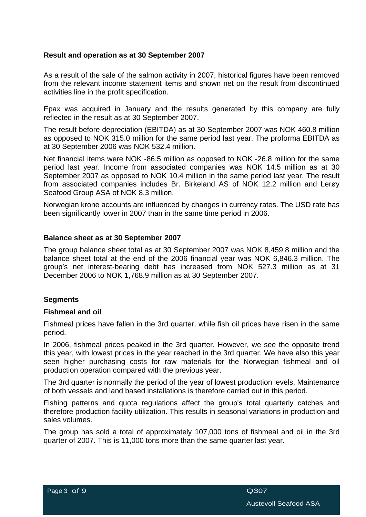#### **Result and operation as at 30 September 2007**

As a result of the sale of the salmon activity in 2007, historical figures have been removed from the relevant income statement items and shown net on the result from discontinued activities line in the profit specification.

Epax was acquired in January and the results generated by this company are fully reflected in the result as at 30 September 2007. The result before depreciation (EBITDA) as at <sup>30</sup> September <sup>2007</sup> was NOK 460.8 million

as opposed to NOK 315.0 million for the same period last year. The proforma EBITDA as at 30 September 2006 was NOK 532.4 million.

Net financial items were NOK -86.5 million as opposed to NOK -26.8 million for the same period last year. Income from associated companies was NOK 14.5 million as at 30 September 2007 as opposed to NOK 10.4 million in the same period last year. The result from associated companies includes Br. Birkeland AS of NOK 12.2 million and Lerøy Seafood Group ASA of NOK 8.3 million.

Norwegian krone accounts are influenced by changes in currency rates. The USD rate has been significantly lower in 2007 than in the same time period in 2006.

#### **Balance sheet as at 30 September 2007**

The group balance sheet total as at 30 September 2007 was NOK 8,459.8 million and the balance sheet total at the end of the 2006 financial year was NOK 6,846.3 million. The group's net interest-bearing debt has increased from NOK 527.3 million as at 31 December 2006 to NOK 1,768.9 million as at 30 September 2007.

#### **Segments**

#### **Fishmeal and oil**

Fishmeal prices have fallen in the 3rd quarter, while fish oil prices have risen in the same period.

In 2006, fishmeal prices peaked in the 3rd quarter. However, we see the opposite trend this year, with lowest prices in the year reached in the 3rd quarter. We have also this year seen higher purchasing costs for raw materials for the Norwegian fishmeal and oil production operation compared with the previous year.

The 3rd quarter is normally the period of the year of lowest production levels. Maintenance of both vessels and land based installations is therefore carried out in this period.

Fishing patterns and quota regulations affect the group's total quarterly catches and therefore production facility utilization. This results in seasonal variations in production and sales volumes.

The group has sold a total of approximately 107,000 tons of fishmeal and oil in the 3rd quarter of 2007. This is 11,000 tons more than the same quarter last year.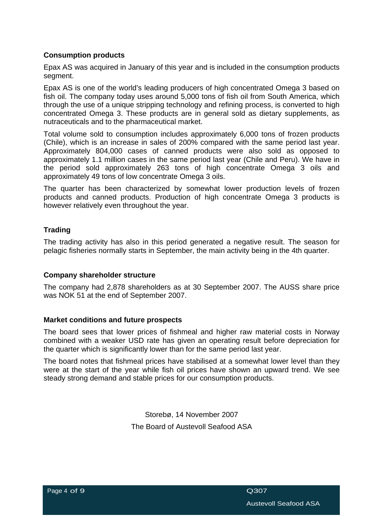### **Consumption products**

Epax AS was acquired in January of this year and is included in the consumption products

segment.<br>Epax AS is one of the world's leading producers of high concentrated Omega 3 based on fish oil. The company today uses around 5,000 tons of fish oil from South America, which through the use of a unique stripping technology and refining process, is converted to high concentrated Omega 3. These products are in general sold as dietary supplements, as nutraceuticals and to the pharmaceutical market.

Total volume sold to consumption includes approximately 6,000 tons of frozen products (Chile), which is an increase in sales of 200% compared with the same period last year. Approximately 804,000 cases of canned products were also sold as opposed to approximately 1.1 million cases in the same period last year (Chile and Peru). We have in the period sold approximately 263 tons of high concentrate Omega 3 oils and approximately 49 tons of low concentrate Omega 3 oils.

The quarter has been characterized by somewhat lower production levels of frozen products and canned products. Production of high concentrate Omega 3 products is however relatively even throughout the year.

### **Trading**

The trading activity has also in this period generated a negative result. The season for pelagic fisheries normally starts in September, the main activity being in the 4th quarter.

#### **Company shareholder structure**

The company had 2,878 shareholders as at 30 September 2007. The AUSS share price was NOK 51 at the end of September 2007.

#### **Market conditions and future prospects**

The board sees that lower prices of fishmeal and higher raw material costs in Norway combined with a weaker USD rate has given an operating result before depreciation for the quarter which is significantly lower than for the same period last year.

The board notes that fishmeal prices have stabilised at a somewhat lower level than they were at the start of the year while fish oil prices have shown an upward trend. We see steady strong demand and stable prices for our consumption products.

> Storebø, 14 November 2007 The Board of Austevoll Seafood ASA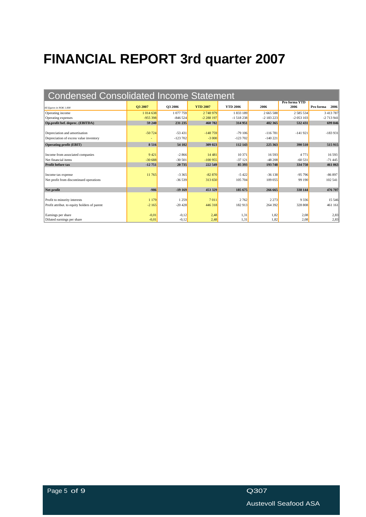## **FINANCIAL REPORT 3rd quarter 2007**

| <b>Condensed Consolidated Income Statement</b> |               |               |                 |                 |               |                       |                |
|------------------------------------------------|---------------|---------------|-----------------|-----------------|---------------|-----------------------|----------------|
| Il figures in NOK 1.000                        | Q3 2007       | Q3 2006       | <b>YTD 2007</b> | <b>YTD 2006</b> | 2006          | Pro forma YTD<br>2006 | Pro forma 2006 |
| Operating income                               | 1 0 1 4 6 3 8 | 1 077 759     | 2 748 979       | 1 833 189       | 2 665 588     | 2 5 8 5 5 3 4         | 3 4 1 3 7 8 7  |
| Operating expenses                             | -955 398      | $-846524$     | $-2288197$      | -1 518 238      | -2 183 223    | $-205310$             | $-2713941$     |
| Op.profit bef. deprec. (EBITDA)                | 59 240        | 231 235       | 460 782         | 314951          | 482 365       | 532 431               | 699 846        |
|                                                |               |               |                 |                 |               |                       |                |
| Depreciation and amortisation                  | $-50724$      | $-53431$      | $-148759$       | $-79106$        | $-116781$     | $-141921$             | $-183931$      |
| Depreciation of excess value inventory         |               | $-123702$     | $-3000$         | $-123702$       | $-140221$     |                       |                |
| <b>Operating profit (EBIT)</b>                 | 8 5 1 6       | <b>54 102</b> | 309 023         | 112 143         | 225 363       | 390 510               | 515 915        |
|                                                |               |               |                 |                 |               |                       |                |
| Income from associated companies               | 9421          | $-2866$       | 14 481          | 10 371          | 16 593        | 4 7 7 1               | 16 5 93        |
| Net financial items                            | $-30688$      | $-30501$      | $-100955$       | $-37121$        | $-48208$      | $-60531$              | $-71445$       |
| Profit before tax                              | $-12\,751$    | 20735         | 222 549         | 85 393          | <b>193748</b> | 334 750               | 461 063        |
|                                                |               |               |                 |                 |               |                       |                |
| Income tax expense                             | 11 765        | $-3365$       | $-82870$        | $-5422$         | $-36138$      | -95 796               | $-86897$       |
| Net profit from discontinued operations        |               | 36.539        | 313 650         | 105 704         | 109 055       | 99 190                | 102 541        |
|                                                |               |               |                 |                 |               |                       |                |
| Net profit                                     | $-986$        | $-19169$      | 453 329         | 185 675         | 266 665       | 338 144               | 476 707        |
|                                                |               |               |                 |                 |               |                       |                |
| Profit to minority interests                   | 1 1 7 9       | 1 2 5 9       | 7 0 1 1         | 2 7 6 2         | 2 2 7 3       | 9 3 3 6               | 15 5 46        |
| Profit attribut. to equity holders of parent   | $-2165$       | $-20428$      | 446 318         | 182913          | 264 392       | 328 808               | 461 161        |
|                                                |               |               |                 |                 |               |                       |                |
| Earnings per share                             |               |               |                 |                 | 1,82          |                       |                |
| Diluted earnings per share                     |               |               |                 |                 |               |                       |                |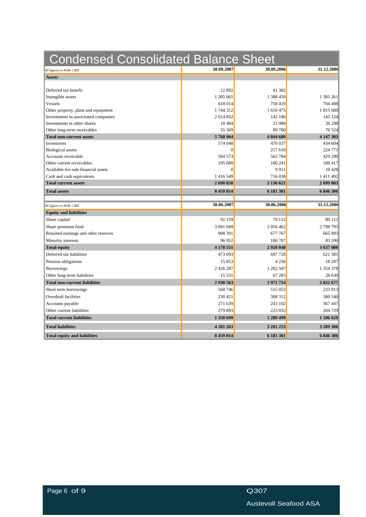| <b>Condensed Consolidated Balance Sheet</b>             |                   |                  |                      |
|---------------------------------------------------------|-------------------|------------------|----------------------|
| All figures in NOK 1.000                                | 30.09.2007        | 30.09.2006       | 31.12.2006           |
| Assets                                                  |                   |                  |                      |
|                                                         |                   |                  |                      |
| Deferred tax benefit                                    | 12 8 9 2          | 41 3 82          |                      |
| Intangible assets                                       | 1 305 061         | 1 388 450        | 1 385 261            |
| Vessels                                                 | 618 014           | 750419           | 704 408              |
| Other property, plant and equipment                     | 1744312           | 1 610 475        | 1 815 689            |
| Investments in associtated companies                    | 2 014 832         | 142 186          | 145124               |
| Investments in other shares                             | 18 4 84<br>55 369 | 21 988<br>89 780 | 26 298               |
| Other long-term receivables<br>Total non-current assets | 5768964           | 4 044 680        | 70 5 24<br>4 147 303 |
| Inventories                                             | 574 048           | 470 037          | 434 604              |
| <b>Biological</b> assets                                |                   | 217 610          | 224 771              |
| Accounts receivable                                     | 504 573           | 562 784          | 429 290              |
| Other current receivables                               | 195 680           | 160 241          | 188 417              |
| Available-for-sale financial assets                     |                   | 9911             | 10 4 28              |
| Cash and cash equivalents                               | 1 4 1 6 5 4 9     | 716 038          | 1 4 1 1 4 9 2        |
| Total current assets                                    | 2 690 850         | 2 136 621        | 2 699 003            |
| <b>Total assets</b>                                     | 8 459 814         | 6 181 301        | 6 846 306            |
|                                                         |                   |                  |                      |
| All figures in NOK 1.000                                | 30.06.2007        | 30.06.2006       | 31.12.2006           |
| <b>Equity and liabilities</b>                           |                   |                  |                      |
| Share capital                                           | 92 159            | 79 112           | 89 11.               |
| Share premium fund                                      | 3 081 049         | 2 056 462        | 2 798 795            |
| Retained earnings and other reserves                    | 908 391           | 677 767          | 665 893              |
| Minority interests                                      | 96 952            | 106 707          | 83 200               |
| Total equity                                            | 4 178 551         | 2 9 20 0 48      | 3 637 000            |
| Deferred tax liabilities                                | 473 093           | 697 728          | 621 381              |
| Pension obligations                                     | 15853             | 4 2 3 6          | 18 287               |
| Borrowings                                              | 2 4 2 6 2 8 7     | 1 202 507        | 1 354 378            |
| Other long-term liabilities                             | 15 3 3 1          | 67 283           | 28 630               |
| Total non-current liabilities                           | 2 930 563         | 1971754          | 2 022 677            |
| Short term borrowings                                   | 568 746           | 515 053          | 233 913              |
| Overdraft facilities                                    | 230 421           | 308 312          | 380 540              |
| Accounts payable                                        | 271 639           | 243 102          | 367447               |
| Other current liabilities                               | 279 893           | 223 032          | 204 729              |
| Total current liabilities                               | 1 350 699         | 1 289 499        | 1 186 629            |
| <b>Total liabilities</b>                                |                   |                  |                      |
|                                                         | 4 281 263         | 3 261 253        | 3 209 306            |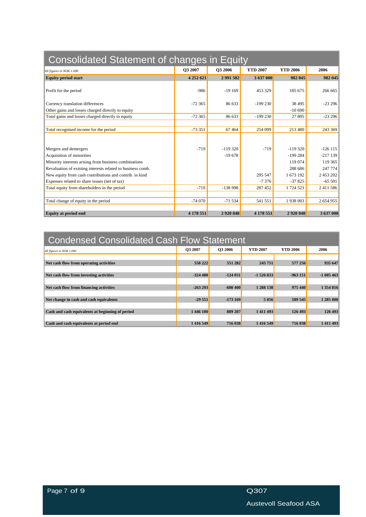| Consolidated Statement of changes in Equity                 |           |           |                 |                 |              |
|-------------------------------------------------------------|-----------|-----------|-----------------|-----------------|--------------|
| All figures in NOK 1.000                                    | Q3 2007   | Q3 2006   | <b>YTD 2007</b> | <b>YTD 2006</b> | 2006         |
| Equity period start                                         | 4 252 621 | 2 991 582 | 3 637 000       | 982 045         | 982 04:      |
| Profit for the period                                       | -986      | $-19169$  | 453 329         | 185 675         | 266 665      |
| Currency translation differences                            | $-72365$  | 86 63     | -199 230        | 38 4 95         | $-23296$     |
| Other gains and losses charged directly to equity           |           |           |                 | $-10690$        |              |
| Total gains and losses charged directly to equity           | $-72365$  | 86 633    | $-199230$       | 27 805          | $-23296$     |
|                                                             |           |           |                 |                 |              |
| Total recognised income for the period                      | $-73331$  | 67464     | 254 099         | 213 480         | 243 369      |
|                                                             |           |           |                 |                 |              |
| Mergers and demergers                                       | $-719$    | $-119320$ | $-719$          | $-119320$       | $-126115$    |
| Acquisition of minorities                                   |           | $-19678$  |                 | $-199284$       | $-217139$    |
| Minority interests arising from business combinations       |           |           |                 | 119 074         | 119 365      |
| Revaluation of existing interests related to business comb. |           |           |                 | 288 686         | 247 774      |
| New equity from cash contributions and contrib. in kind     |           |           | 295 54          | 1 673 192       | 2 453 202    |
| Expenses related to share issues (net of tax)               |           |           | $-7376$         | $-37825$        | $-65501$     |
| Total equity from shareholders in the period                | $-719$    | $-138998$ | 287 452         | 1724 523        | 2 4 11 5 8 6 |
|                                                             |           |           |                 |                 |              |
| Total change of equity in the period                        | $-74070$  | $-71534$  | 541 551         | 1 938 003       | 2 654 955    |
| Equity at period end                                        | 4 178 551 | 2920048   | 4 178 551       | 2 9 20 0 48     | 3 637 000    |

| Condensed Consolidated Cash Flow Statement       |           |           |                 |                 |             |
|--------------------------------------------------|-----------|-----------|-----------------|-----------------|-------------|
| All figures in NOK 1.000                         | Q3 2007   | Q3 2006   | <b>YTD 2007</b> | <b>YTD 2006</b> | 2006        |
| Net cash flow from operating activities          | 558 222   | 551 282   | 243 751         | 577 256         | 935 647     |
| Net cash flow from investing activities          | $-324480$ | $-124051$ | $-1526833$      | $-963151$       | $-1005463$  |
| Net cash flow from financing activities          | $-263293$ | $-600400$ | 1 288 138       | 975440          | 1 354 816   |
| Net change in cash and cash equivalents          | $-29551$  | $-173169$ | 5056            | 589 545         | 1 285 000   |
| Cash and cash equivalents at beginning of period | 1446 100  | 889 207   | 1 411 493       | 126 493         | 126 49      |
| Cash and cash equivalents at period end          | 1416549   | 716 038   | 1 416 549       | 716 038         | 1 4 1 1 4 9 |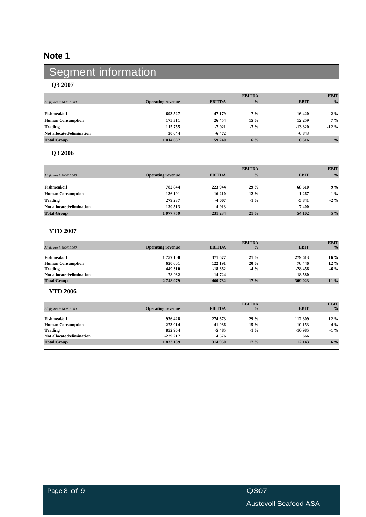## **Note 1**

## Segment information

#### **Q3 2007**

|                          |                          |               | <b>EBITDA</b> |             |  |
|--------------------------|--------------------------|---------------|---------------|-------------|--|
| gures in NOK 1.000       | <b>Operating revenue</b> | <b>EBITDA</b> |               | <b>EBIT</b> |  |
|                          |                          |               |               |             |  |
| `ishmeal/oil             | 693 527                  | 47 179        | $7\%$         | 16 4 20     |  |
| <b>Auman Consumption</b> | 175 311                  | 26 454        | 15 %          | 12 259      |  |
| `rading                  | 115 755                  | $-7921$       | $-7\%$        | $-13320$    |  |
| t allocated/eliminatio   | 30 044                   | $-6472$       |               | $-6843$     |  |
|                          |                          | 59 240        | $6\%$         | 8516        |  |
|                          |                          |               |               |             |  |

#### **Q3 2006**

|                           |                          |               | <b>EBITDA</b> |                |                 |
|---------------------------|--------------------------|---------------|---------------|----------------|-----------------|
| gures in NOK 1.000        | <b>Operating revenue</b> | <b>EBITDA</b> |               | <b>EBIT</b>    |                 |
|                           |                          |               |               |                |                 |
| shmeal/oil                | 782 844                  | 223 944 29 %  |               | 68 610         | $9\%$           |
| man Consumption           | 136 191                  |               | 16 210 12 %   | $-1267$ $-1\%$ |                 |
| Trading                   | 279 237                  | $-4007$       | $-1\%$        | $-5841$        | $-2\frac{9}{6}$ |
| Not allocated/elimination | $-120513$                | $-4913$       |               | $-7400$        |                 |
| tal Group                 |                          | 231 234       | 21 %          | 54 102         |                 |
|                           |                          |               |               |                |                 |

#### **YTD 2007**

| All figures in NOK 1.000             | <b>Operating revenue</b> | <b>EBITDA</b> |        | <b>EBIT</b>  |  |
|--------------------------------------|--------------------------|---------------|--------|--------------|--|
|                                      |                          |               |        |              |  |
|                                      |                          | 371 677       |        | 279 613      |  |
| 'ishmeal/oil                         | 1757100                  |               | 21 %   |              |  |
| Human Consumption                    | 620 601                  | 122 191       | 20 %   | 76 446       |  |
|                                      | 449 310                  | $-18362$      | $-4\%$ | $-28456$     |  |
| Trading<br>\ot allocated/elimination |                          | $-14724$      |        | $-18580$     |  |
|                                      |                          |               |        |              |  |
| tal Group                            | 2748979                  | 460 782       | $17\%$ | 309 023 11 % |  |
|                                      |                          |               |        |              |  |
| <b>YTD 2006</b>                      |                          |               |        |              |  |
|                                      |                          |               |        |              |  |
|                                      |                          |               |        |              |  |
|                                      |                          |               | EBITDA |              |  |
| ll figures in NOK 1.000              | <b>Operating revenue</b> | <b>EBITDA</b> |        | <b>EBIT</b>  |  |
|                                      |                          |               |        |              |  |
|                                      |                          |               |        |              |  |
| shmeal/oil                           | 936 428                  | 274 673       | 29 %   | 112 309      |  |
|                                      | 273 014                  | 41 086        | 15 %   | 10 153       |  |
| rading                               | 852 964                  | $-5485$       | $-1\%$ | $-10.985$    |  |
|                                      |                          |               |        |              |  |
| ot allocated/eliminatio              |                          | 4676          |        |              |  |
| otal Group                           | 1 833 189                | 314 950       | $17\%$ | 112 143      |  |